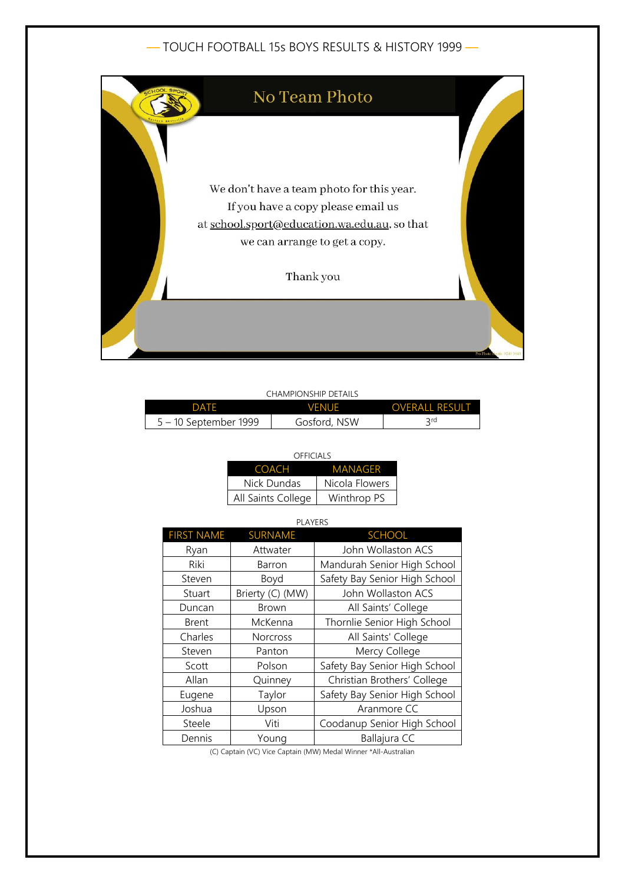## — TOUCH FOOTBALL 15s BOYS RESULTS & HISTORY 1999 —



#### CHAMPIONSHIP DETAILS

| DATF                  | VFNUF        | <b>OVERALL RESULT</b> |
|-----------------------|--------------|-----------------------|
| 5 – 10 September 1999 | Gosford, NSW | 2 rd                  |

| OFFICIALS          |                |  |  |  |
|--------------------|----------------|--|--|--|
| COACH              | MANAGFR        |  |  |  |
| Nick Dundas        | Nicola Flowers |  |  |  |
| All Saints College | Winthrop PS    |  |  |  |

## PLAYERS FIRST NAME SURNAME SCHOOL Ryan | Attwater | John Wollaston ACS Riki | Barron | Mandurah Senior High School Steven Boyd Safety Bay Senior High School Stuart | Brierty (C) (MW) | John Wollaston ACS Duncan | Brown | All Saints' College Brent | McKenna | Thornlie Senior High School Charles | Norcross | All Saints' College Steven | Panton | Mercy College Scott | Polson | Safety Bay Senior High School Allan | Quinney | Christian Brothers' College Eugene | Taylor | Safety Bay Senior High School Joshua | Upson | Aranmore CC Steele | Viti | Coodanup Senior High School Dennis | Young | Ballajura CC

(C) Captain (VC) Vice Captain (MW) Medal Winner \*All-Australian